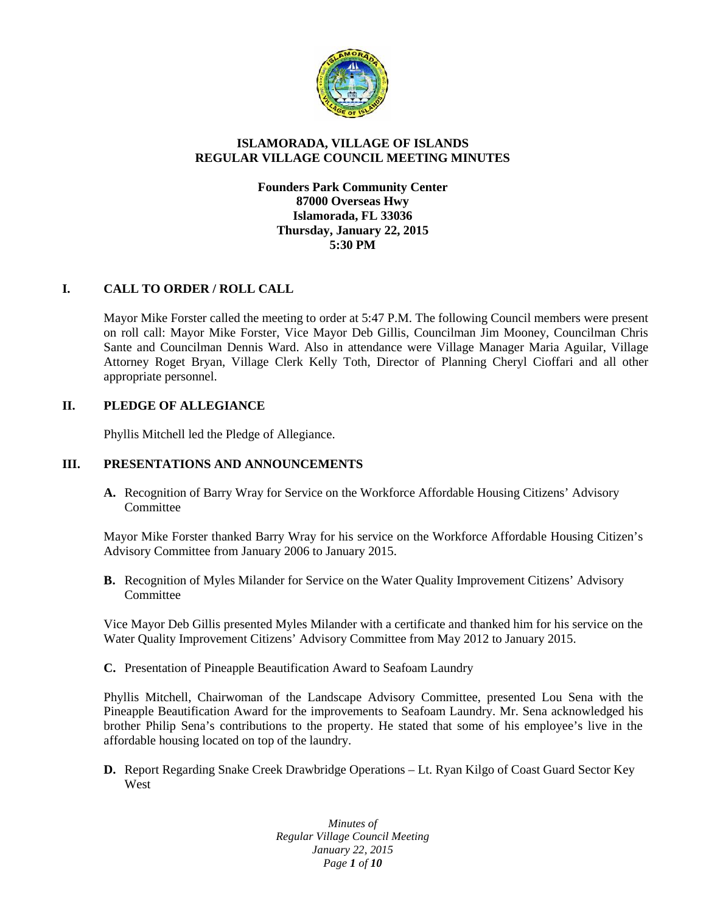

# **ISLAMORADA, VILLAGE OF ISLANDS REGULAR VILLAGE COUNCIL MEETING MINUTES**

**Founders Park Community Center 87000 Overseas Hwy Islamorada, FL 33036 Thursday, January 22, 2015 5:30 PM**

# **I. CALL TO ORDER / ROLL CALL**

Mayor Mike Forster called the meeting to order at 5:47 P.M. The following Council members were present on roll call: Mayor Mike Forster, Vice Mayor Deb Gillis, Councilman Jim Mooney, Councilman Chris Sante and Councilman Dennis Ward. Also in attendance were Village Manager Maria Aguilar, Village Attorney Roget Bryan, Village Clerk Kelly Toth, Director of Planning Cheryl Cioffari and all other appropriate personnel.

# **II. PLEDGE OF ALLEGIANCE**

Phyllis Mitchell led the Pledge of Allegiance.

### **III. PRESENTATIONS AND ANNOUNCEMENTS**

**A.** Recognition of Barry Wray for Service on the Workforce Affordable Housing Citizens' Advisory Committee

Mayor Mike Forster thanked Barry Wray for his service on the Workforce Affordable Housing Citizen's Advisory Committee from January 2006 to January 2015.

**B.** Recognition of Myles Milander for Service on the Water Quality Improvement Citizens' Advisory Committee

Vice Mayor Deb Gillis presented Myles Milander with a certificate and thanked him for his service on the Water Quality Improvement Citizens' Advisory Committee from May 2012 to January 2015.

**C.** Presentation of Pineapple Beautification Award to Seafoam Laundry

Phyllis Mitchell, Chairwoman of the Landscape Advisory Committee, presented Lou Sena with the Pineapple Beautification Award for the improvements to Seafoam Laundry. Mr. Sena acknowledged his brother Philip Sena's contributions to the property. He stated that some of his employee's live in the affordable housing located on top of the laundry.

**D.** Report Regarding Snake Creek Drawbridge Operations – Lt. Ryan Kilgo of Coast Guard Sector Key West

> *Minutes of Regular Village Council Meeting January 22, 2015 Page 1 of 10*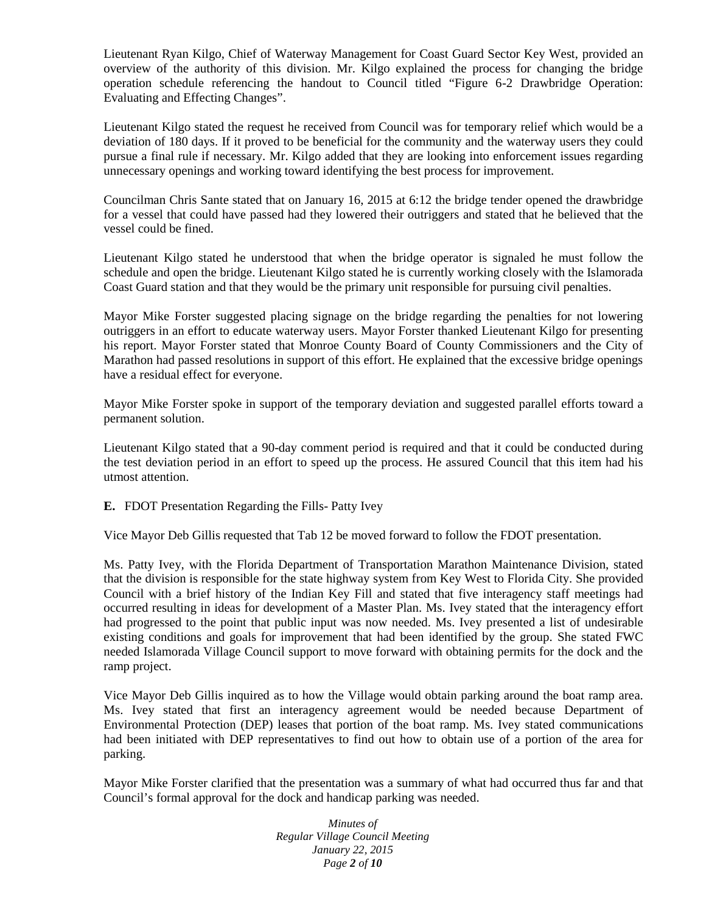Lieutenant Ryan Kilgo, Chief of Waterway Management for Coast Guard Sector Key West, provided an overview of the authority of this division. Mr. Kilgo explained the process for changing the bridge operation schedule referencing the handout to Council titled "Figure 6-2 Drawbridge Operation: Evaluating and Effecting Changes".

Lieutenant Kilgo stated the request he received from Council was for temporary relief which would be a deviation of 180 days. If it proved to be beneficial for the community and the waterway users they could pursue a final rule if necessary. Mr. Kilgo added that they are looking into enforcement issues regarding unnecessary openings and working toward identifying the best process for improvement.

Councilman Chris Sante stated that on January 16, 2015 at 6:12 the bridge tender opened the drawbridge for a vessel that could have passed had they lowered their outriggers and stated that he believed that the vessel could be fined.

Lieutenant Kilgo stated he understood that when the bridge operator is signaled he must follow the schedule and open the bridge. Lieutenant Kilgo stated he is currently working closely with the Islamorada Coast Guard station and that they would be the primary unit responsible for pursuing civil penalties.

Mayor Mike Forster suggested placing signage on the bridge regarding the penalties for not lowering outriggers in an effort to educate waterway users. Mayor Forster thanked Lieutenant Kilgo for presenting his report. Mayor Forster stated that Monroe County Board of County Commissioners and the City of Marathon had passed resolutions in support of this effort. He explained that the excessive bridge openings have a residual effect for everyone.

Mayor Mike Forster spoke in support of the temporary deviation and suggested parallel efforts toward a permanent solution.

Lieutenant Kilgo stated that a 90-day comment period is required and that it could be conducted during the test deviation period in an effort to speed up the process. He assured Council that this item had his utmost attention.

**E.** FDOT Presentation Regarding the Fills- Patty Ivey

Vice Mayor Deb Gillis requested that Tab 12 be moved forward to follow the FDOT presentation.

Ms. Patty Ivey, with the Florida Department of Transportation Marathon Maintenance Division, stated that the division is responsible for the state highway system from Key West to Florida City. She provided Council with a brief history of the Indian Key Fill and stated that five interagency staff meetings had occurred resulting in ideas for development of a Master Plan. Ms. Ivey stated that the interagency effort had progressed to the point that public input was now needed. Ms. Ivey presented a list of undesirable existing conditions and goals for improvement that had been identified by the group. She stated FWC needed Islamorada Village Council support to move forward with obtaining permits for the dock and the ramp project.

Vice Mayor Deb Gillis inquired as to how the Village would obtain parking around the boat ramp area. Ms. Ivey stated that first an interagency agreement would be needed because Department of Environmental Protection (DEP) leases that portion of the boat ramp. Ms. Ivey stated communications had been initiated with DEP representatives to find out how to obtain use of a portion of the area for parking.

Mayor Mike Forster clarified that the presentation was a summary of what had occurred thus far and that Council's formal approval for the dock and handicap parking was needed.

> *Minutes of Regular Village Council Meeting January 22, 2015 Page 2 of 10*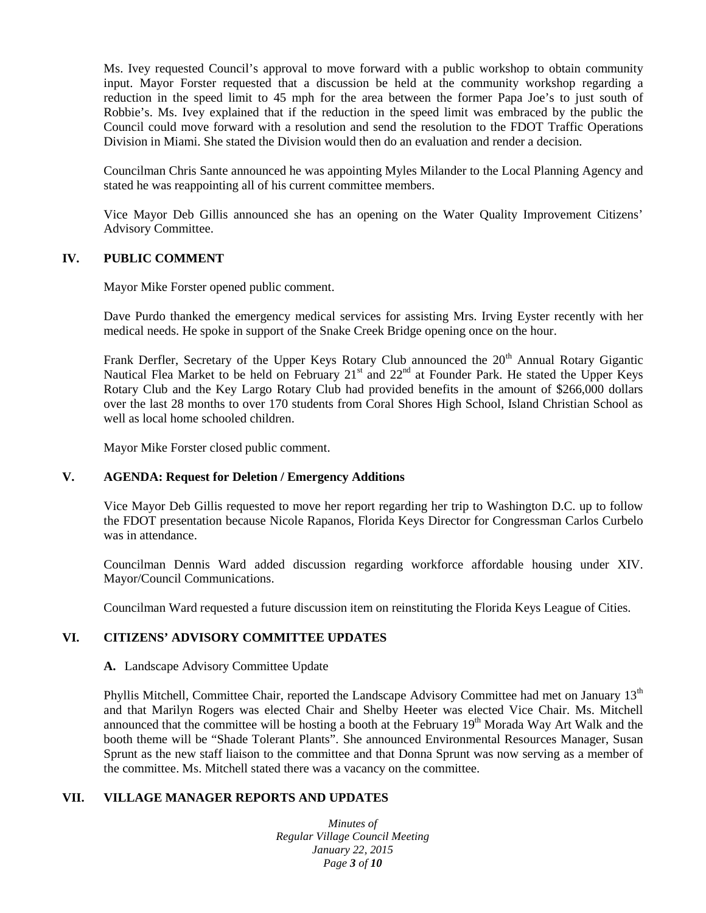Ms. Ivey requested Council's approval to move forward with a public workshop to obtain community input. Mayor Forster requested that a discussion be held at the community workshop regarding a reduction in the speed limit to 45 mph for the area between the former Papa Joe's to just south of Robbie's. Ms. Ivey explained that if the reduction in the speed limit was embraced by the public the Council could move forward with a resolution and send the resolution to the FDOT Traffic Operations Division in Miami. She stated the Division would then do an evaluation and render a decision.

Councilman Chris Sante announced he was appointing Myles Milander to the Local Planning Agency and stated he was reappointing all of his current committee members.

Vice Mayor Deb Gillis announced she has an opening on the Water Quality Improvement Citizens' Advisory Committee.

#### **IV. PUBLIC COMMENT**

Mayor Mike Forster opened public comment.

Dave Purdo thanked the emergency medical services for assisting Mrs. Irving Eyster recently with her medical needs. He spoke in support of the Snake Creek Bridge opening once on the hour.

Frank Derfler, Secretary of the Upper Keys Rotary Club announced the 20<sup>th</sup> Annual Rotary Gigantic Nautical Flea Market to be held on February  $21<sup>st</sup>$  and  $22<sup>nd</sup>$  at Founder Park. He stated the Upper Keys Rotary Club and the Key Largo Rotary Club had provided benefits in the amount of \$266,000 dollars over the last 28 months to over 170 students from Coral Shores High School, Island Christian School as well as local home schooled children.

Mayor Mike Forster closed public comment.

#### **V. AGENDA: Request for Deletion / Emergency Additions**

Vice Mayor Deb Gillis requested to move her report regarding her trip to Washington D.C. up to follow the FDOT presentation because Nicole Rapanos, Florida Keys Director for Congressman Carlos Curbelo was in attendance.

Councilman Dennis Ward added discussion regarding workforce affordable housing under XIV. Mayor/Council Communications.

Councilman Ward requested a future discussion item on reinstituting the Florida Keys League of Cities.

# **VI. CITIZENS' ADVISORY COMMITTEE UPDATES**

#### **A.** Landscape Advisory Committee Update

Phyllis Mitchell, Committee Chair, reported the Landscape Advisory Committee had met on January 13<sup>th</sup> and that Marilyn Rogers was elected Chair and Shelby Heeter was elected Vice Chair. Ms. Mitchell announced that the committee will be hosting a booth at the February 19<sup>th</sup> Morada Way Art Walk and the booth theme will be "Shade Tolerant Plants". She announced Environmental Resources Manager, Susan Sprunt as the new staff liaison to the committee and that Donna Sprunt was now serving as a member of the committee. Ms. Mitchell stated there was a vacancy on the committee.

### **VII. VILLAGE MANAGER REPORTS AND UPDATES**

*Minutes of Regular Village Council Meeting January 22, 2015 Page 3 of 10*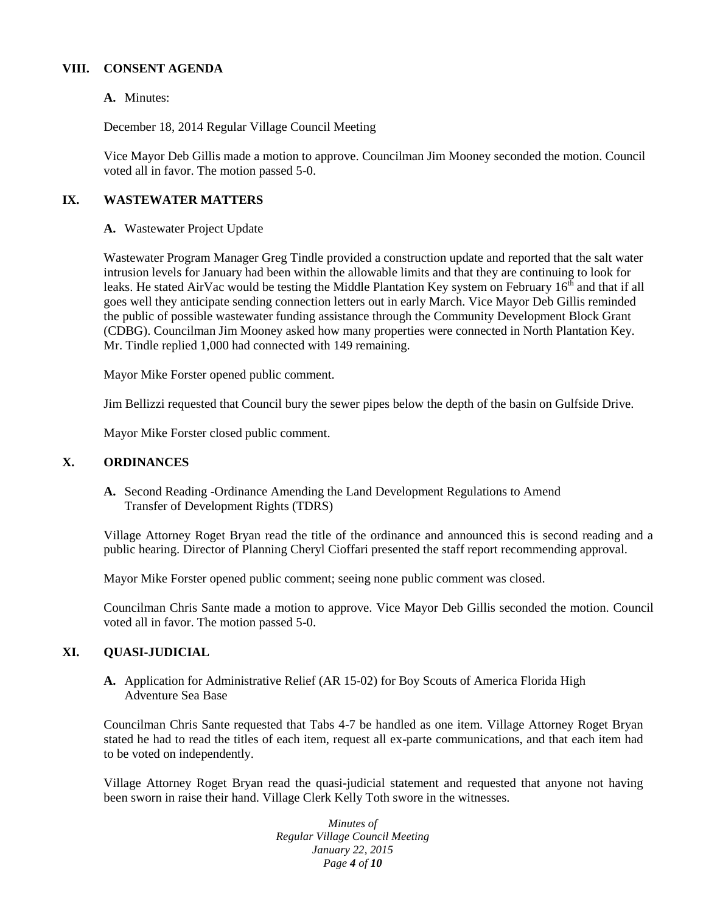#### **VIII. CONSENT AGENDA**

### **A.** Minutes:

December 18, 2014 Regular Village Council Meeting

Vice Mayor Deb Gillis made a motion to approve. Councilman Jim Mooney seconded the motion. Council voted all in favor. The motion passed 5-0.

# **IX. WASTEWATER MATTERS**

**A.** Wastewater Project Update

Wastewater Program Manager Greg Tindle provided a construction update and reported that the salt water intrusion levels for January had been within the allowable limits and that they are continuing to look for leaks. He stated AirVac would be testing the Middle Plantation Key system on February  $16<sup>th</sup>$  and that if all goes well they anticipate sending connection letters out in early March. Vice Mayor Deb Gillis reminded the public of possible wastewater funding assistance through the Community Development Block Grant (CDBG). Councilman Jim Mooney asked how many properties were connected in North Plantation Key. Mr. Tindle replied 1,000 had connected with 149 remaining.

Mayor Mike Forster opened public comment.

Jim Bellizzi requested that Council bury the sewer pipes below the depth of the basin on Gulfside Drive.

Mayor Mike Forster closed public comment.

# **X. ORDINANCES**

**A.** Second Reading -Ordinance Amending the Land Development Regulations to Amend Transfer of Development Rights (TDRS)

Village Attorney Roget Bryan read the title of the ordinance and announced this is second reading and a public hearing. Director of Planning Cheryl Cioffari presented the staff report recommending approval.

Mayor Mike Forster opened public comment; seeing none public comment was closed.

Councilman Chris Sante made a motion to approve. Vice Mayor Deb Gillis seconded the motion. Council voted all in favor. The motion passed 5-0.

# **XI. QUASI-JUDICIAL**

**A.** Application for Administrative Relief (AR 15-02) for Boy Scouts of America Florida High Adventure Sea Base

Councilman Chris Sante requested that Tabs 4-7 be handled as one item. Village Attorney Roget Bryan stated he had to read the titles of each item, request all ex-parte communications, and that each item had to be voted on independently.

Village Attorney Roget Bryan read the quasi-judicial statement and requested that anyone not having been sworn in raise their hand. Village Clerk Kelly Toth swore in the witnesses.

> *Minutes of Regular Village Council Meeting January 22, 2015 Page 4 of 10*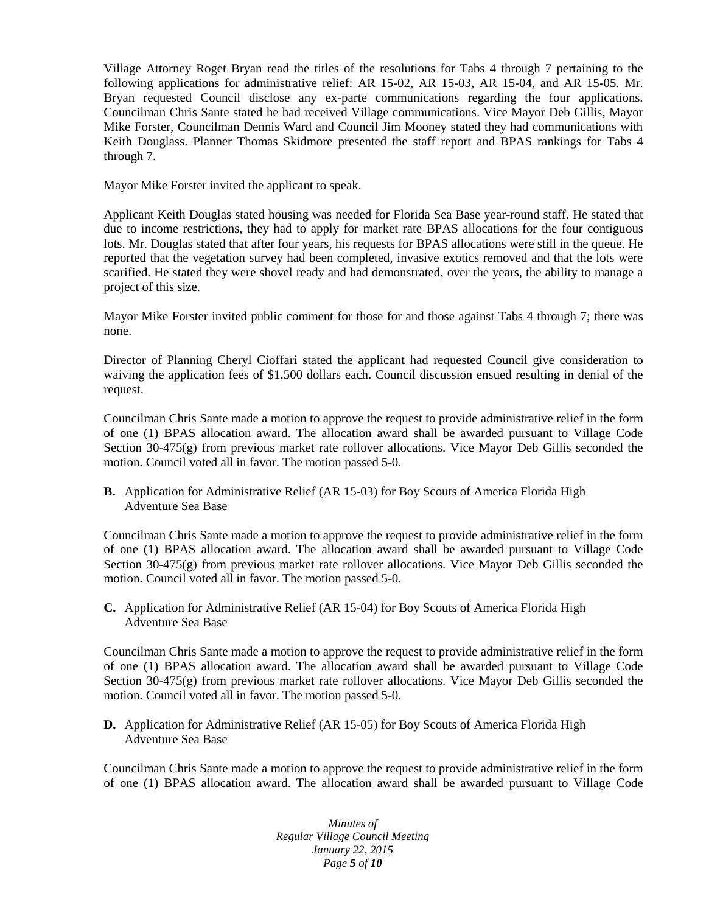Village Attorney Roget Bryan read the titles of the resolutions for Tabs 4 through 7 pertaining to the following applications for administrative relief: AR 15-02, AR 15-03, AR 15-04, and AR 15-05. Mr. Bryan requested Council disclose any ex-parte communications regarding the four applications. Councilman Chris Sante stated he had received Village communications. Vice Mayor Deb Gillis, Mayor Mike Forster, Councilman Dennis Ward and Council Jim Mooney stated they had communications with Keith Douglass. Planner Thomas Skidmore presented the staff report and BPAS rankings for Tabs 4 through 7.

Mayor Mike Forster invited the applicant to speak.

Applicant Keith Douglas stated housing was needed for Florida Sea Base year-round staff. He stated that due to income restrictions, they had to apply for market rate BPAS allocations for the four contiguous lots. Mr. Douglas stated that after four years, his requests for BPAS allocations were still in the queue. He reported that the vegetation survey had been completed, invasive exotics removed and that the lots were scarified. He stated they were shovel ready and had demonstrated, over the years, the ability to manage a project of this size.

Mayor Mike Forster invited public comment for those for and those against Tabs 4 through 7; there was none.

Director of Planning Cheryl Cioffari stated the applicant had requested Council give consideration to waiving the application fees of \$1,500 dollars each. Council discussion ensued resulting in denial of the request.

Councilman Chris Sante made a motion to approve the request to provide administrative relief in the form of one (1) BPAS allocation award. The allocation award shall be awarded pursuant to Village Code Section 30-475(g) from previous market rate rollover allocations. Vice Mayor Deb Gillis seconded the motion. Council voted all in favor. The motion passed 5-0.

**B.** Application for Administrative Relief (AR 15-03) for Boy Scouts of America Florida High Adventure Sea Base

Councilman Chris Sante made a motion to approve the request to provide administrative relief in the form of one (1) BPAS allocation award. The allocation award shall be awarded pursuant to Village Code Section 30-475(g) from previous market rate rollover allocations. Vice Mayor Deb Gillis seconded the motion. Council voted all in favor. The motion passed 5-0.

**C.** Application for Administrative Relief (AR 15-04) for Boy Scouts of America Florida High Adventure Sea Base

Councilman Chris Sante made a motion to approve the request to provide administrative relief in the form of one (1) BPAS allocation award. The allocation award shall be awarded pursuant to Village Code Section 30-475(g) from previous market rate rollover allocations. Vice Mayor Deb Gillis seconded the motion. Council voted all in favor. The motion passed 5-0.

**D.** Application for Administrative Relief (AR 15-05) for Boy Scouts of America Florida High Adventure Sea Base

Councilman Chris Sante made a motion to approve the request to provide administrative relief in the form of one (1) BPAS allocation award. The allocation award shall be awarded pursuant to Village Code

> *Minutes of Regular Village Council Meeting January 22, 2015 Page 5 of 10*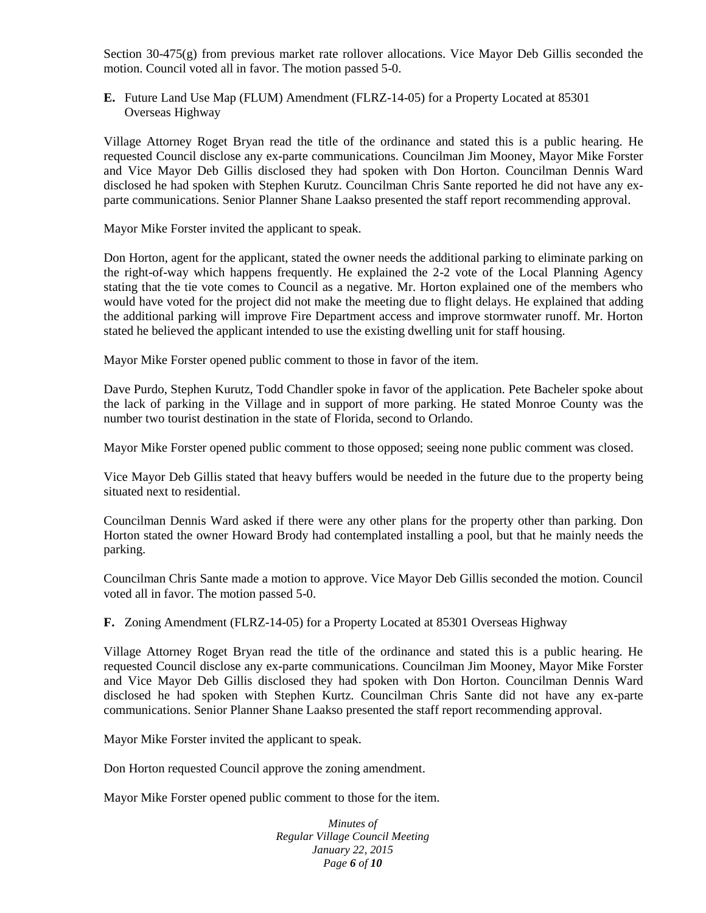Section 30-475(g) from previous market rate rollover allocations. Vice Mayor Deb Gillis seconded the motion. Council voted all in favor. The motion passed 5-0.

**E.** Future Land Use Map (FLUM) Amendment (FLRZ-14-05) for a Property Located at 85301 Overseas Highway

Village Attorney Roget Bryan read the title of the ordinance and stated this is a public hearing. He requested Council disclose any ex-parte communications. Councilman Jim Mooney, Mayor Mike Forster and Vice Mayor Deb Gillis disclosed they had spoken with Don Horton. Councilman Dennis Ward disclosed he had spoken with Stephen Kurutz. Councilman Chris Sante reported he did not have any ex parte communications. Senior Planner Shane Laakso presented the staff report recommending approval.

Mayor Mike Forster invited the applicant to speak.

Don Horton, agent for the applicant, stated the owner needs the additional parking to eliminate parking on the right-of-way which happens frequently. He explained the 2-2 vote of the Local Planning Agency stating that the tie vote comes to Council as a negative. Mr. Horton explained one of the members who would have voted for the project did not make the meeting due to flight delays. He explained that adding the additional parking will improve Fire Department access and improve stormwater runoff. Mr. Horton stated he believed the applicant intended to use the existing dwelling unit for staff housing.

Mayor Mike Forster opened public comment to those in favor of the item.

Dave Purdo, Stephen Kurutz, Todd Chandler spoke in favor of the application. Pete Bacheler spoke about the lack of parking in the Village and in support of more parking. He stated Monroe County was the number two tourist destination in the state of Florida, second to Orlando.

Mayor Mike Forster opened public comment to those opposed; seeing none public comment was closed.

Vice Mayor Deb Gillis stated that heavy buffers would be needed in the future due to the property being situated next to residential.

Councilman Dennis Ward asked if there were any other plans for the property other than parking. Don Horton stated the owner Howard Brody had contemplated installing a pool, but that he mainly needs the parking.

Councilman Chris Sante made a motion to approve. Vice Mayor Deb Gillis seconded the motion. Council voted all in favor. The motion passed 5-0.

**F.** Zoning Amendment (FLRZ-14-05) for a Property Located at 85301 Overseas Highway

Village Attorney Roget Bryan read the title of the ordinance and stated this is a public hearing. He requested Council disclose any ex-parte communications. Councilman Jim Mooney, Mayor Mike Forster and Vice Mayor Deb Gillis disclosed they had spoken with Don Horton. Councilman Dennis Ward disclosed he had spoken with Stephen Kurtz. Councilman Chris Sante did not have any ex-parte communications. Senior Planner Shane Laakso presented the staff report recommending approval.

Mayor Mike Forster invited the applicant to speak.

Don Horton requested Council approve the zoning amendment.

Mayor Mike Forster opened public comment to those for the item.

*Minutes of Regular Village Council Meeting January 22, 2015 Page 6 of 10*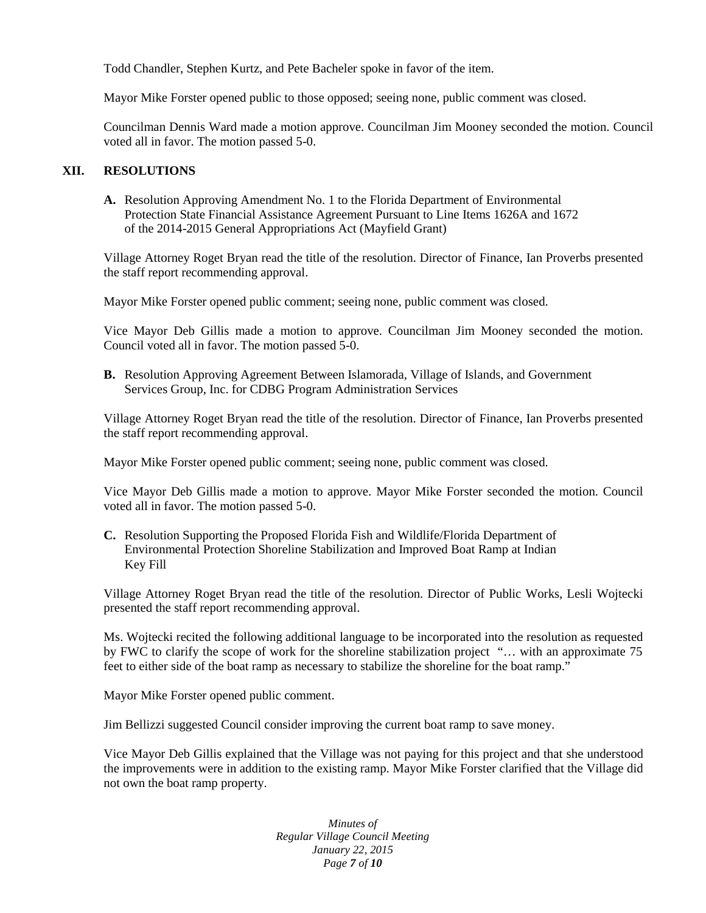Todd Chandler, Stephen Kurtz, and Pete Bacheler spoke in favor of the item.

Mayor Mike Forster opened public to those opposed; seeing none, public comment was closed.

Councilman Dennis Ward made a motion approve. Councilman Jim Mooney seconded the motion. Council voted all in favor. The motion passed 5-0.

#### **XII. RESOLUTIONS**

**A.** Resolution Approving Amendment No. 1 to the Florida Department of Environmental Protection State Financial Assistance Agreement Pursuant to Line Items 1626A and 1672 of the 2014-2015 General Appropriations Act (Mayfield Grant)

Village Attorney Roget Bryan read the title of the resolution. Director of Finance, Ian Proverbs presented the staff report recommending approval.

Mayor Mike Forster opened public comment; seeing none, public comment was closed.

Vice Mayor Deb Gillis made a motion to approve. Councilman Jim Mooney seconded the motion. Council voted all in favor. The motion passed 5-0.

**B.** Resolution Approving Agreement Between Islamorada, Village of Islands, and Government Services Group, Inc. for CDBG Program Administration Services

Village Attorney Roget Bryan read the title of the resolution. Director of Finance, Ian Proverbs presented the staff report recommending approval.

Mayor Mike Forster opened public comment; seeing none, public comment was closed.

Vice Mayor Deb Gillis made a motion to approve. Mayor Mike Forster seconded the motion. Council voted all in favor. The motion passed 5-0.

**C.** Resolution Supporting the Proposed Florida Fish and Wildlife/Florida Department of Environmental Protection Shoreline Stabilization and Improved Boat Ramp at Indian Key Fill

Village Attorney Roget Bryan read the title of the resolution. Director of Public Works, Lesli Wojtecki presented the staff report recommending approval.

Ms. Wojtecki recited the following additional language to be incorporated into the resolution as requested by FWC to clarify the scope of work for the shoreline stabilization project "… with an approximate 75 feet to either side of the boat ramp as necessary to stabilize the shoreline for the boat ramp."

Mayor Mike Forster opened public comment.

Jim Bellizzi suggested Council consider improving the current boat ramp to save money.

Vice Mayor Deb Gillis explained that the Village was not paying for this project and that she understood the improvements were in addition to the existing ramp. Mayor Mike Forster clarified that the Village did not own the boat ramp property.

> *Minutes of Regular Village Council Meeting January 22, 2015 Page 7 of 10*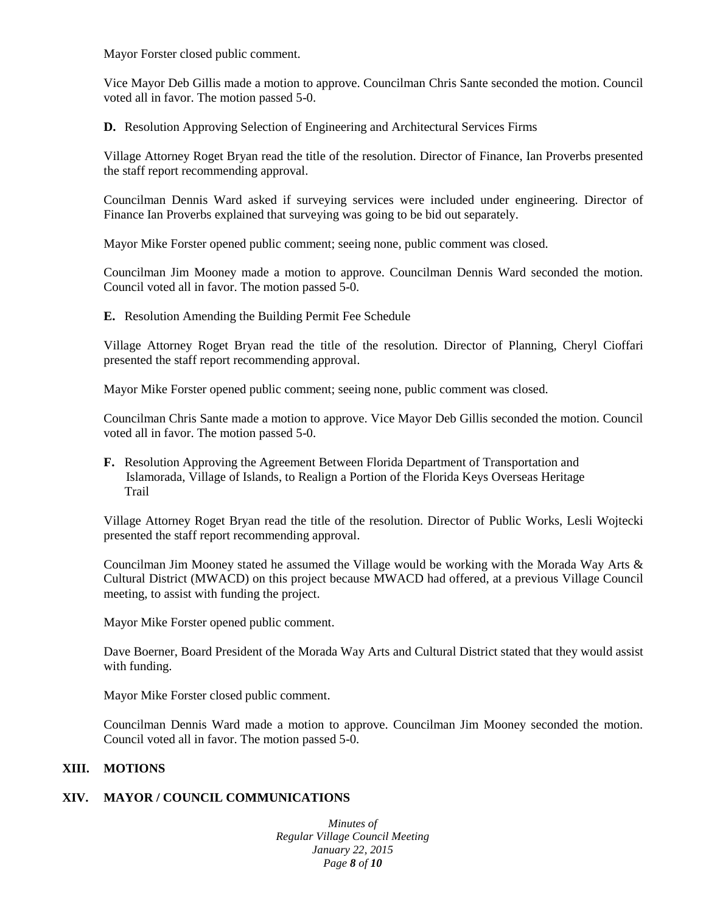Mayor Forster closed public comment.

Vice Mayor Deb Gillis made a motion to approve. Councilman Chris Sante seconded the motion. Council voted all in favor. The motion passed 5-0.

**D.** Resolution Approving Selection of Engineering and Architectural Services Firms

Village Attorney Roget Bryan read the title of the resolution. Director of Finance, Ian Proverbs presented the staff report recommending approval.

Councilman Dennis Ward asked if surveying services were included under engineering. Director of Finance Ian Proverbs explained that surveying was going to be bid out separately.

Mayor Mike Forster opened public comment; seeing none, public comment was closed.

Councilman Jim Mooney made a motion to approve. Councilman Dennis Ward seconded the motion. Council voted all in favor. The motion passed 5-0.

**E.** Resolution Amending the Building Permit Fee Schedule

Village Attorney Roget Bryan read the title of the resolution. Director of Planning, Cheryl Cioffari presented the staff report recommending approval.

Mayor Mike Forster opened public comment; seeing none, public comment was closed.

Councilman Chris Sante made a motion to approve. Vice Mayor Deb Gillis seconded the motion. Council voted all in favor. The motion passed 5-0.

**F.** Resolution Approving the Agreement Between Florida Department of Transportation and Islamorada, Village of Islands, to Realign a Portion of the Florida Keys Overseas Heritage Trail

Village Attorney Roget Bryan read the title of the resolution. Director of Public Works, Lesli Wojtecki presented the staff report recommending approval.

Councilman Jim Mooney stated he assumed the Village would be working with the Morada Way Arts & Cultural District (MWACD) on this project because MWACD had offered, at a previous Village Council meeting, to assist with funding the project.

Mayor Mike Forster opened public comment.

Dave Boerner, Board President of the Morada Way Arts and Cultural District stated that they would assist with funding.

Mayor Mike Forster closed public comment.

Councilman Dennis Ward made a motion to approve. Councilman Jim Mooney seconded the motion. Council voted all in favor. The motion passed 5-0.

#### **XIII. MOTIONS**

### **XIV. MAYOR / COUNCIL COMMUNICATIONS**

*Minutes of Regular Village Council Meeting January 22, 2015 Page 8 of 10*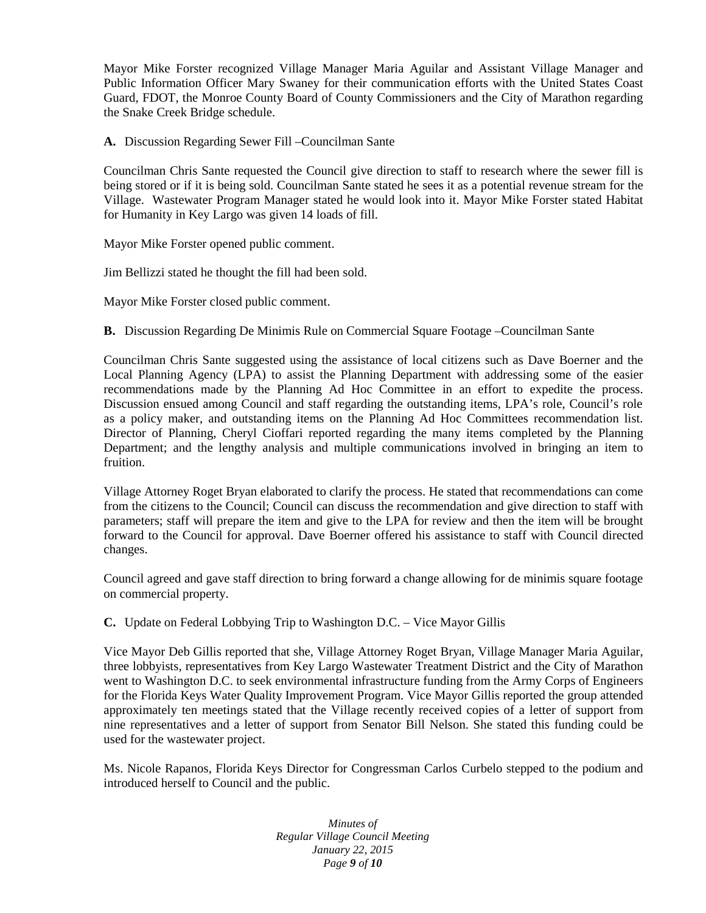Mayor Mike Forster recognized Village Manager Maria Aguilar and Assistant Village Manager and Public Information Officer Mary Swaney for their communication efforts with the United States Coast Guard, FDOT, the Monroe County Board of County Commissioners and the City of Marathon regarding the Snake Creek Bridge schedule.

**A.** Discussion Regarding Sewer Fill –Councilman Sante

Councilman Chris Sante requested the Council give direction to staff to research where the sewer fill is being stored or if it is being sold. Councilman Sante stated he sees it as a potential revenue stream for the Village. Wastewater Program Manager stated he would look into it. Mayor Mike Forster stated Habitat for Humanity in Key Largo was given 14 loads of fill.

Mayor Mike Forster opened public comment.

Jim Bellizzi stated he thought the fill had been sold.

Mayor Mike Forster closed public comment.

**B.** Discussion Regarding De Minimis Rule on Commercial Square Footage –Councilman Sante

Councilman Chris Sante suggested using the assistance of local citizens such as Dave Boerner and the Local Planning Agency (LPA) to assist the Planning Department with addressing some of the easier recommendations made by the Planning Ad Hoc Committee in an effort to expedite the process. Discussion ensued among Council and staff regarding the outstanding items, LPA's role, Council's role as a policy maker, and outstanding items on the Planning Ad Hoc Committees recommendation list. Director of Planning, Cheryl Cioffari reported regarding the many items completed by the Planning Department; and the lengthy analysis and multiple communications involved in bringing an item to fruition.

Village Attorney Roget Bryan elaborated to clarify the process. He stated that recommendations can come from the citizens to the Council; Council can discuss the recommendation and give direction to staff with parameters; staff will prepare the item and give to the LPA for review and then the item will be brought forward to the Council for approval. Dave Boerner offered his assistance to staff with Council directed changes.

Council agreed and gave staff direction to bring forward a change allowing for de minimis square footage on commercial property.

**C.** Update on Federal Lobbying Trip to Washington D.C. – Vice Mayor Gillis

Vice Mayor Deb Gillis reported that she, Village Attorney Roget Bryan, Village Manager Maria Aguilar, three lobbyists, representatives from Key Largo Wastewater Treatment District and the City of Marathon went to Washington D.C. to seek environmental infrastructure funding from the Army Corps of Engineers for the Florida Keys Water Quality Improvement Program. Vice Mayor Gillis reported the group attended approximately ten meetings stated that the Village recently received copies of a letter of support from nine representatives and a letter of support from Senator Bill Nelson. She stated this funding could be used for the wastewater project.

Ms. Nicole Rapanos, Florida Keys Director for Congressman Carlos Curbelo stepped to the podium and introduced herself to Council and the public.

> *Minutes of Regular Village Council Meeting January 22, 2015 Page 9 of 10*